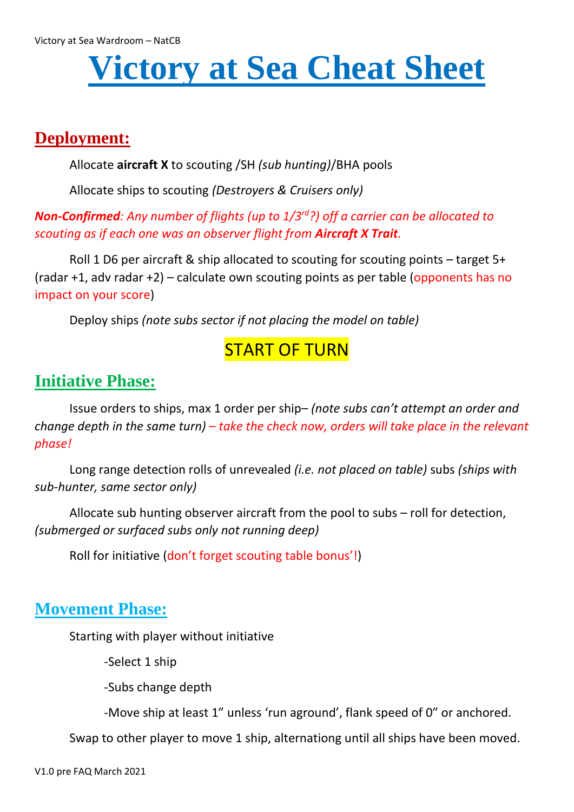# **Victory at Sea Cheat Sheet**

# **Deployment:**

Allocate **aircraft X** to scouting /SH *(sub hunting)*/BHA pools

Allocate ships to scouting *(Destroyers & Cruisers only)*

## *Non-Confirmed: Any number of flights (up to 1/3rd?) off a carrier can be allocated to scouting as if each one was an observer flight from Aircraft X Trait.*

Roll 1 D6 per aircraft & ship allocated to scouting for scouting points – target 5+ (radar  $+1$ , adv radar  $+2$ ) – calculate own scouting points as per table (opponents has no impact on your score)

Deploy ships *(note subs sector if not placing the model on table)*

# START OF TURN

# **Initiative Phase:**

Issue orders to ships, max 1 order per ship– *(note subs can't attempt an order and change depth in the same turn) – take the check now, orders will take place in the relevant phase!*

Long range detection rolls of unrevealed *(i.e. not placed on table)* subs *(ships with sub-hunter, same sector only)*

Allocate sub hunting observer aircraft from the pool to subs – roll for detection, *(submerged or surfaced subs only not running deep)*

Roll for initiative (don't forget scouting table bonus'!)

# **Movement Phase:**

Starting with player without initiative

-Select 1 ship

-Subs change depth

-Move ship at least 1" unless 'run aground', flank speed of 0" or anchored.

Swap to other player to move 1 ship, alternationg until all ships have been moved.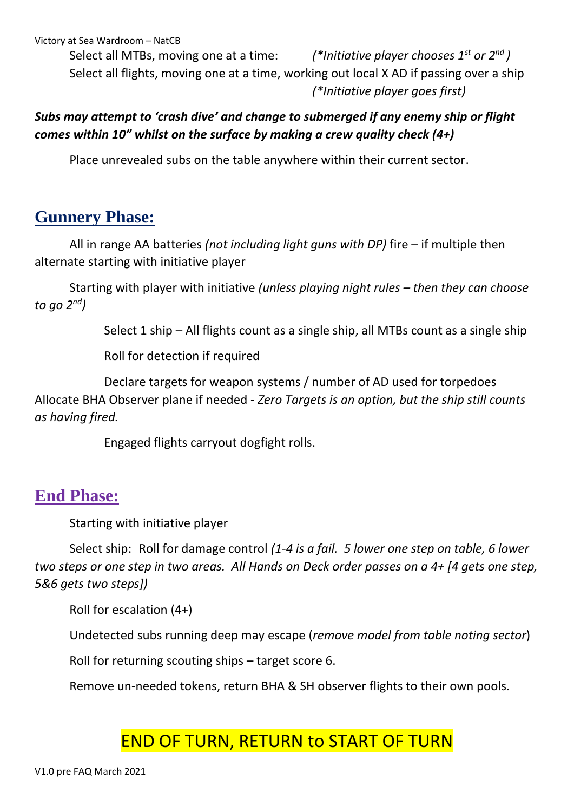Victory at Sea Wardroom – NatCB

Select all MTBs, moving one at a time: *(\*Initiative player chooses 1st or 2nd )* Select all flights, moving one at a time, working out local X AD if passing over a ship *(\*Initiative player goes first)*

## *Subs may attempt to 'crash dive' and change to submerged if any enemy ship or flight comes within 10" whilst on the surface by making a crew quality check (4+)*

Place unrevealed subs on the table anywhere within their current sector.

# **Gunnery Phase:**

All in range AA batteries *(not including light guns with DP)* fire – if multiple then alternate starting with initiative player

Starting with player with initiative *(unless playing night rules – then they can choose to go 2nd)*

Select 1 ship – All flights count as a single ship, all MTBs count as a single ship

Roll for detection if required

Declare targets for weapon systems / number of AD used for torpedoes Allocate BHA Observer plane if needed - *Zero Targets is an option, but the ship still counts as having fired.*

Engaged flights carryout dogfight rolls.

## **End Phase:**

Starting with initiative player

Select ship: Roll for damage control *(1-4 is a fail. 5 lower one step on table, 6 lower two steps or one step in two areas. All Hands on Deck order passes on a 4+ [4 gets one step, 5&6 gets two steps])*

Roll for escalation (4+)

Undetected subs running deep may escape (*remove model from table noting sector*)

Roll for returning scouting ships – target score 6.

Remove un-needed tokens, return BHA & SH observer flights to their own pools.

# END OF TURN, RETURN to START OF TURN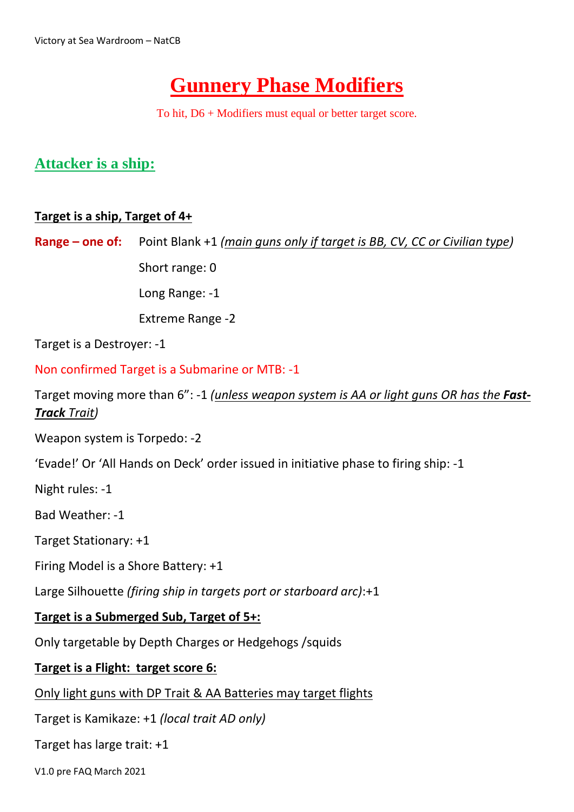# **Gunnery Phase Modifiers**

To hit, D6 + Modifiers must equal or better target score.

## **Attacker is a ship:**

## **Target is a ship, Target of 4+**

**Range – one of:** Point Blank +1 *(main guns only if target is BB, CV, CC or Civilian type)*

Short range: 0

Long Range: -1

Extreme Range -2

Target is a Destroyer: -1

Non confirmed Target is a Submarine or MTB: -1

Target moving more than 6": -1 *(unless weapon system is AA or light guns OR has the Fast-Track Trait)*

Weapon system is Torpedo: -2

'Evade!' Or 'All Hands on Deck' order issued in initiative phase to firing ship: -1

Night rules: -1

Bad Weather: -1

Target Stationary: +1

Firing Model is a Shore Battery: +1

Large Silhouette *(firing ship in targets port or starboard arc)*:+1

## **Target is a Submerged Sub, Target of 5+:**

Only targetable by Depth Charges or Hedgehogs /squids

#### **Target is a Flight: target score 6:**

Only light guns with DP Trait & AA Batteries may target flights

Target is Kamikaze: +1 *(local trait AD only)*

Target has large trait: +1

V1.0 pre FAQ March 2021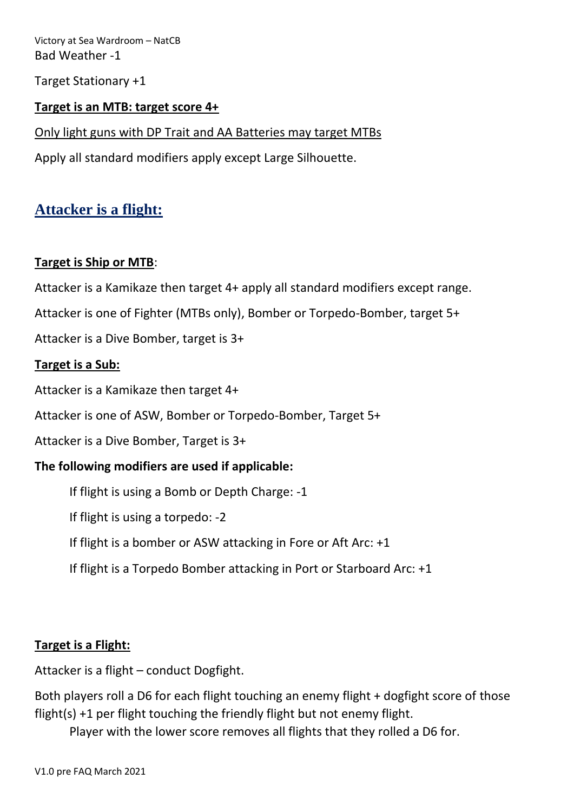Victory at Sea Wardroom – NatCB Bad Weather -1

Target Stationary +1

#### **Target is an MTB: target score 4+**

Only light guns with DP Trait and AA Batteries may target MTBs

Apply all standard modifiers apply except Large Silhouette.

## **Attacker is a flight:**

#### **Target is Ship or MTB**:

Attacker is a Kamikaze then target 4+ apply all standard modifiers except range.

Attacker is one of Fighter (MTBs only), Bomber or Torpedo-Bomber, target 5+

Attacker is a Dive Bomber, target is 3+

#### **Target is a Sub:**

Attacker is a Kamikaze then target 4+

Attacker is one of ASW, Bomber or Torpedo-Bomber, Target 5+

Attacker is a Dive Bomber, Target is 3+

## **The following modifiers are used if applicable:**

If flight is using a Bomb or Depth Charge: -1

If flight is using a torpedo: -2

If flight is a bomber or ASW attacking in Fore or Aft Arc: +1

If flight is a Torpedo Bomber attacking in Port or Starboard Arc: +1

#### **Target is a Flight:**

Attacker is a flight – conduct Dogfight.

Both players roll a D6 for each flight touching an enemy flight + dogfight score of those flight(s) +1 per flight touching the friendly flight but not enemy flight.

Player with the lower score removes all flights that they rolled a D6 for.